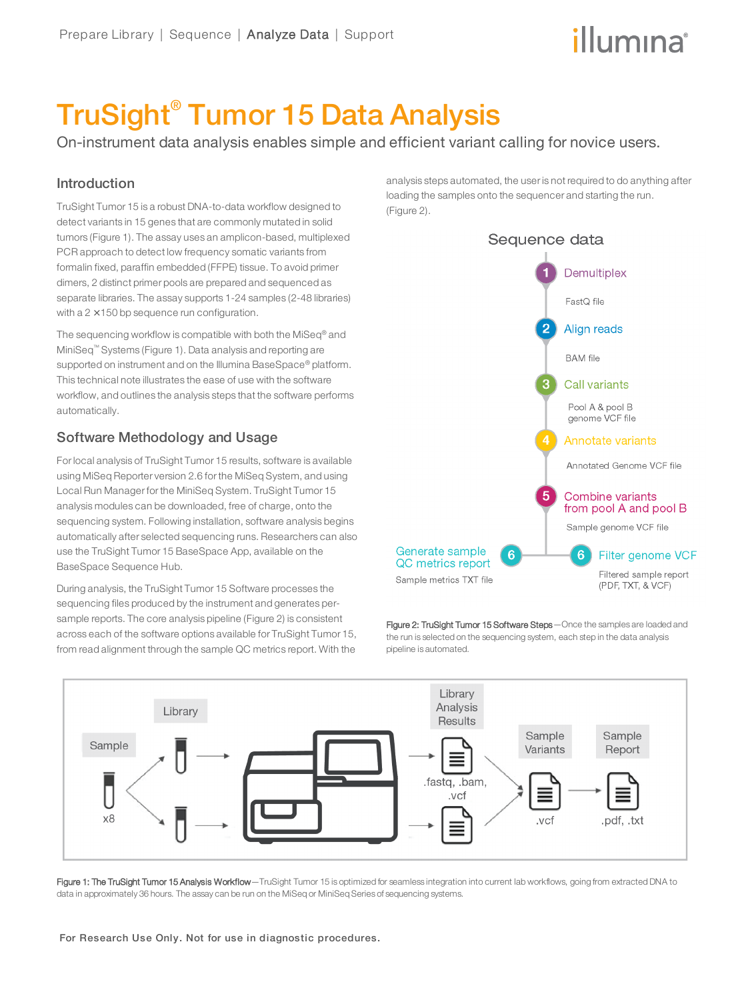# TruSight® Tumor 15 Data Analysis

On-instrument data analysis enables simple and efficient variant calling for novice users.

#### Introduction

TruSight Tumor 15 is a robust DNA-to-data workflow designed to detect variants in 15 genes that are commonly mutated in solid tumors (Figure 1). The assay uses an amplicon-based, multiplexed PCR approach to detect low frequency somatic variants from formalin fixed, paraffin embedded (FFPE) tissue. To avoid primer dimers, 2 distinct primer pools are prepared and sequenced as separate libraries. The assay supports 1-24 samples (2-48 libraries) with a  $2 \times 150$  bp sequence run configuration.

The sequencing workflow is compatible with both the MiSeq® and MiniSeq™ Systems (Figure 1). Data analysis and reporting are supported on instrument and on the Illumina BaseSpace® platform. This technical note illustrates the ease of use with the software workflow, and outlines the analysis steps that the software performs automatically.

### Software Methodology and Usage

For local analysis of TruSight Tumor 15 results, software is available using MiSeq Reporter version 2.6 for the MiSeq System, and using Local Run Manager for the MiniSeq System. TruSight Tumor 15 analysis modules can be downloaded, free of charge, onto the sequencing system. Following installation, software analysis begins automatically after selected sequencing runs. Researchers can also use the TruSight Tumor 15 BaseSpace App, available on the BaseSpace Sequence Hub.

During analysis, the TruSight Tumor 15 Software processes the sequencing files produced by the instrument and generates persample reports. The core analysis pipeline (Figure 2) is consistent across each of the software options available for TruSight Tumor 15, from read alignment through the sample QC metrics report. With the

analysis steps automated, the user is not required to do anything after loading the samples onto the sequencer and starting the run. (Figure 2).



Figure 2: TruSight Tumor 15 Software Steps - Once the samples are loaded and the run is selected on the sequencing system, each step in the data analysis pipeline is automated.



Figure 1: The TruSight Tumor 15 Analysis Workflow—TruSight Tumor 15 is optimized for seamless integration into current lab workflows, going from extracted DNA to data in approximately 36 hours. The assay can be run on the MiSeq or MiniSeq Series of sequencing systems.

For Research Use Only. Not for use in diagnostic procedures.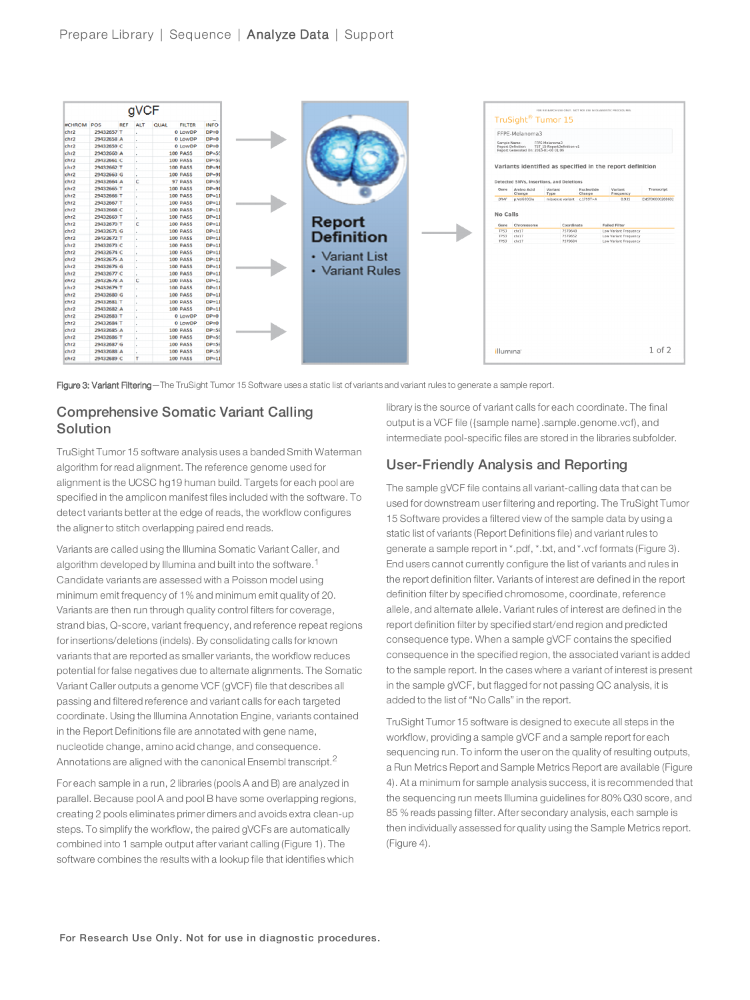



#### Comprehensive Somatic Variant Calling Solution

TruSight Tumor 15 software analysis uses a banded Smith Waterman algorithm for read alignment. The reference genome used for alignment is the UCSC hg19 human build. Targets for each pool are specified in the amplicon manifest files included with the software. To detect variants better at the edge of reads, the workflow configures the aligner to stitch overlapping paired end reads.

Variants are called using the Illumina Somatic Variant Caller, and algorithm developed by Illumina and built into the software.<sup>1</sup> Candidate variants are assessed with a Poisson model using minimum emit frequency of 1% and minimum emit quality of 20. Variants are then run through quality control filters for coverage, strand bias, Q-score, variant frequency, and reference repeat regions for insertions/deletions (indels). By consolidating calls for known variants that are reported as smaller variants, the workflow reduces potential for false negatives due to alternate alignments. The Somatic Variant Caller outputs a genome VCF (gVCF) file that describes all passing and filtered reference and variant calls for each targeted coordinate. Using the Illumina Annotation Engine, variants contained in the Report Definitions file are annotated with gene name, nucleotide change, amino acid change, and consequence. Annotations are aligned with the canonical Ensembl transcript.<sup>2</sup>

For each sample in a run, 2 libraries (pools A and B) are analyzed in parallel. Because pool A and pool B have some overlapping regions, creating 2 pools eliminates primer dimers and avoids extra clean-up steps. To simplify the workflow, the paired gVCFs are automatically combined into 1 sample output after variant calling (Figure 1). The software combines the results with a lookup file that identifies which

library is the source of variant calls for each coordinate. The final output is a VCF file ({sample name}.sample.genome.vcf), and intermediate pool-specific files are stored in the libraries subfolder.

#### User-Friendly Analysis and Reporting

The sample gVCF file contains all variant-calling data that can be used for downstream user filtering and reporting. The TruSight Tumor 15 Software provides a filtered view of the sample data by using a static list of variants (Report Definitions file) and variant rules to generate a sample report in \*.pdf, \*.txt, and \*.vcf formats (Figure 3). End users cannot currently configure the list of variants and rules in the report definition filter. Variants of interest are defined in the report definition filter by specified chromosome, coordinate, reference allele, and alternate allele. Variant rules of interest are defined in the report definition filter by specified start/end region and predicted consequence type. When a sample gVCF contains the specified consequence in the specified region, the associated variant is added to the sample report. In the cases where a variant of interest is present in the sample gVCF, but flagged for not passing QC analysis, it is added to the list of "No Calls" in the report.

TruSight Tumor 15 software is designed to execute all steps in the workflow, providing a sample gVCF and a sample report for each sequencing run. To inform the user on the quality of resulting outputs, a Run Metrics Report and Sample Metrics Report are available (Figure 4). At a minimum for sample analysis success, it is recommended that the sequencing run meets Illumina guidelines for 80% Q30 score, and 85 % reads passing filter. After secondary analysis, each sample is then individually assessed for quality using the Sample Metrics report. (Figure 4).